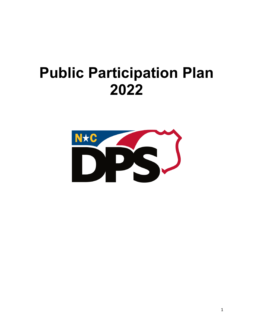# **Public Participation Plan**

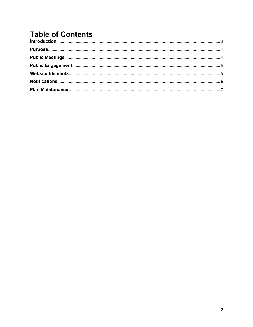## **Table of Contents**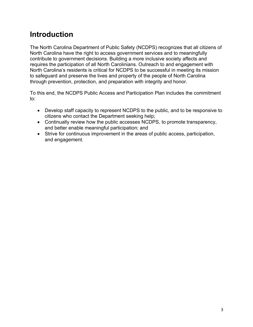#### **Introduction**

The North Carolina Department of Public Safety (NCDPS) recognizes that all citizens of North Carolina have the right to access government services and to meaningfully contribute to government decisions. Building a more inclusive society affects and requires the participation of all North Carolinians. Outreach to and engagement with North Carolina's residents is critical for NCDPS to be successful in meeting its mission to safeguard and preserve the lives and property of the people of North Carolina through prevention, protection, and preparation with integrity and honor.

To this end, the NCDPS Public Access and Participation Plan includes the commitment to:

- Develop staff capacity to represent NCDPS to the public, and to be responsive to citizens who contact the Department seeking help;
- Continually review how the public accesses NCDPS, to promote transparency, and better enable meaningful participation; and
- Strive for continuous improvement in the areas of public access, participation, and engagement.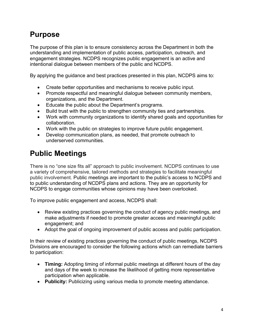### **Purpose**

The purpose of this plan is to ensure consistency across the Department in both the understanding and implementation of public access, participation, outreach, and engagement strategies. NCDPS recognizes public engagement is an active and intentional dialogue between members of the public and NCDPS.

By applying the guidance and best practices presented in this plan, NCDPS aims to:

- Create better opportunities and mechanisms to receive public input.
- Promote respectful and meaningful dialogue between community members, organizations, and the Department.
- Educate the public about the Department's programs.
- Build trust with the public to strengthen community ties and partnerships.
- Work with community organizations to identify shared goals and opportunities for collaboration.
- Work with the public on strategies to improve future public engagement.
- Develop communication plans, as needed, that promote outreach to underserved communities.

#### **Public Meetings**

There is no "one size fits all" approach to public involvement. NCDPS continues to use a variety of comprehensive, tailored methods and strategies to facilitate meaningful public involvement. Public meetings are important to the public's access to NCDPS and to public understanding of NCDPS plans and actions. They are an opportunity for NCDPS to engage communities whose opinions may have been overlooked.

To improve public engagement and access, NCDPS shall:

- Review existing practices governing the conduct of agency public meetings, and make adjustments if needed to promote greater access and meaningful public engagement; and
- Adopt the goal of ongoing improvement of public access and public participation.

In their review of existing practices governing the conduct of public meetings, NCDPS Divisions are encouraged to consider the following actions which can remediate barriers to participation:

- **Timing:** Adopting timing of informal public meetings at different hours of the day and days of the week to increase the likelihood of getting more representative participation when applicable.
- **Publicity:** Publicizing using various media to promote meeting attendance.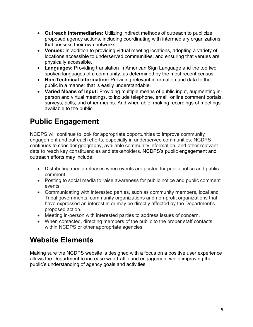- **Outreach Intermediaries:** Utilizing indirect methods of outreach to publicize proposed agency actions, including coordinating with intermediary organizations that possess their own networks.
- **Venues:** In addition to providing virtual meeting locations, adopting a variety of locations accessible to underserved communities, and ensuring that venues are physically accessible.
- **Languages:** Providing translation in American Sign Language and the top two spoken languages of a community, as determined by the most recent census.
- **Non-Technical Information:** Providing relevant information and data to the public in a manner that is easily understandable.
- **Varied Means of Input:** Providing multiple means of public input, augmenting inperson and virtual meetings, to include telephone, email, online comment portals, surveys, polls, and other means. And when able, making recordings of meetings available to the public.

# **Public Engagement**

NCDPS will continue to look for appropriate opportunities to improve community engagement and outreach efforts, especially in underserved communities. NCDPS continues to consider geography, available community information, and other relevant data to reach key constituencies and stakeholders. NCDPS's public engagement and outreach efforts may include:

- Distributing media releases when events are posted for public notice and public comment.
- Posting to social media to raise awareness for public notice and public comment events.
- Communicating with interested parties, such as community members, local and Tribal governments, community organizations and non-profit organizations that have expressed an interest in or may be directly affected by the Department's proposed action.
- Meeting in-person with interested parties to address issues of concern.
- When contacted, directing members of the public to the proper staff contacts within NCDPS or other appropriate agencies.

## **Website Elements**

Making sure the NCDPS website is designed with a focus on a positive user experience allows the Department to increase web-traffic and engagement while improving the public's understanding of agency goals and activities.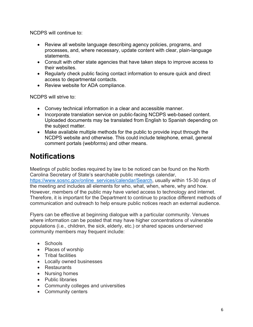NCDPS will continue to:

- Review all website language describing agency policies, programs, and processes, and, where necessary, update content with clear, plain-language statements.
- Consult with other state agencies that have taken steps to improve access to their websites.
- Regularly check public facing contact information to ensure quick and direct access to departmental contacts.
- Review website for ADA compliance.

NCDPS will strive to:

- Convey technical information in a clear and accessible manner.
- Incorporate translation service on public-facing NCDPS web-based content. Uploaded documents may be translated from English to Spanish depending on the subject matter.
- Make available multiple methods for the public to provide input through the NCDPS website and otherwise. This could include telephone, email, general comment portals (webforms) and other means.

#### **Notifications**

Meetings of public bodies required by law to be noticed can be found on the North Carolina Secretary of State's searchable public meetings calendar, https://www.sosnc.gov/online\_services/calendar/Search, usually within 15-30 days of the meeting and includes all elements for who, what, when, where, why and how. However, members of the public may have varied access to technology and internet. Therefore, it is important for the Department to continue to practice different methods of communication and outreach to help ensure public notices reach an external audience.

Flyers can be effective at beginning dialogue with a particular community. Venues where information can be posted that may have higher concentrations of vulnerable populations (i.e., children, the sick, elderly, etc.) or shared spaces underserved community members may frequent include:

- Schools
- Places of worship
- Tribal facilities
- Locally owned businesses
- Restaurants
- Nursing homes
- Public libraries
- Community colleges and universities
- Community centers